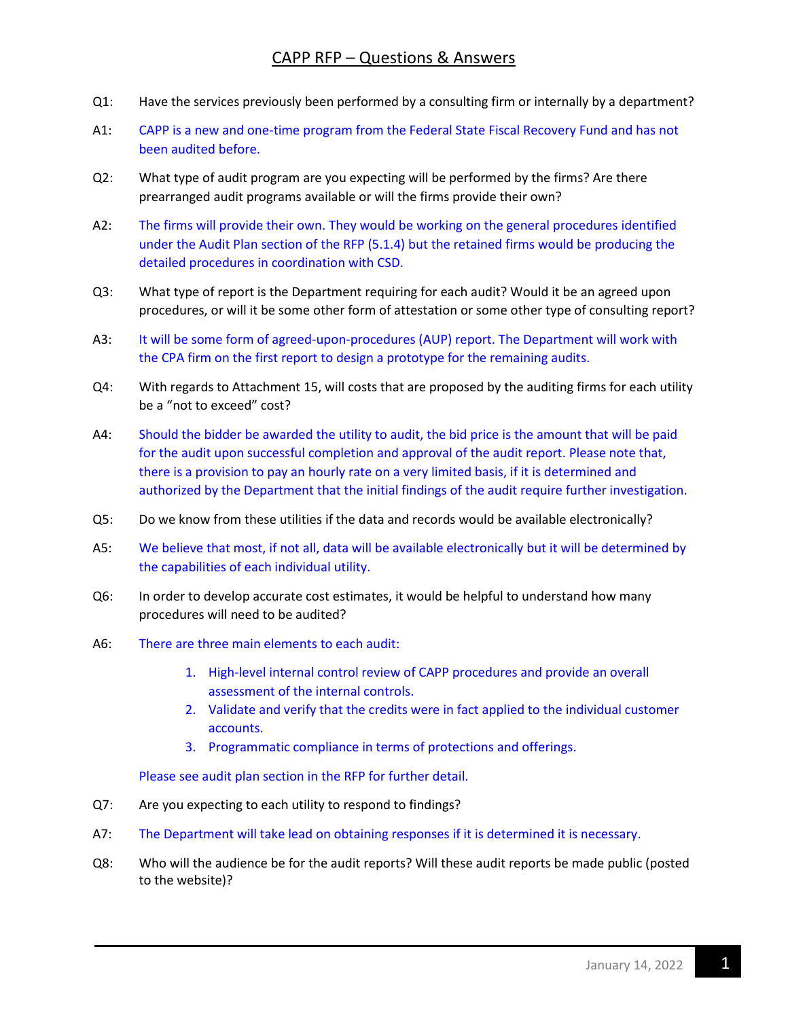## CAPP RFP – Questions & Answers

- Q1: Have the services previously been performed by a consulting firm or internally by a department?
- A1: CAPP is a new and one-time program from the Federal State Fiscal Recovery Fund and has not been audited before.
- Q2: What type of audit program are you expecting will be performed by the firms? Are there prearranged audit programs available or will the firms provide their own?
- A2: The firms will provide their own. They would be working on the general procedures identified under the Audit Plan section of the RFP (5.1.4) but the retained firms would be producing the detailed procedures in coordination with CSD.
- Q3: What type of report is the Department requiring for each audit? Would it be an agreed upon procedures, or will it be some other form of attestation or some other type of consulting report?
- A3: It will be some form of agreed-upon-procedures (AUP) report. The Department will work with the CPA firm on the first report to design a prototype for the remaining audits.
- Q4: With regards to Attachment 15, will costs that are proposed by the auditing firms for each utility be a "not to exceed" cost?
- A4: Should the bidder be awarded the utility to audit, the bid price is the amount that will be paid for the audit upon successful completion and approval of the audit report. Please note that, there is a provision to pay an hourly rate on a very limited basis, if it is determined and authorized by the Department that the initial findings of the audit require further investigation.
- Q5: Do we know from these utilities if the data and records would be available electronically?
- A5: We believe that most, if not all, data will be available electronically but it will be determined by the capabilities of each individual utility.
- Q6: In order to develop accurate cost estimates, it would be helpful to understand how many procedures will need to be audited?
- A6: There are three main elements to each audit:
	- 1. High-level internal control review of CAPP procedures and provide an overall assessment of the internal controls.
	- 2. Validate and verify that the credits were in fact applied to the individual customer accounts.
	- 3. Programmatic compliance in terms of protections and offerings.

Please see audit plan section in the RFP for further detail.

- Q7: Are you expecting to each utility to respond to findings?
- A7: The Department will take lead on obtaining responses if it is determined it is necessary.
- Q8: Who will the audience be for the audit reports? Will these audit reports be made public (posted to the website)?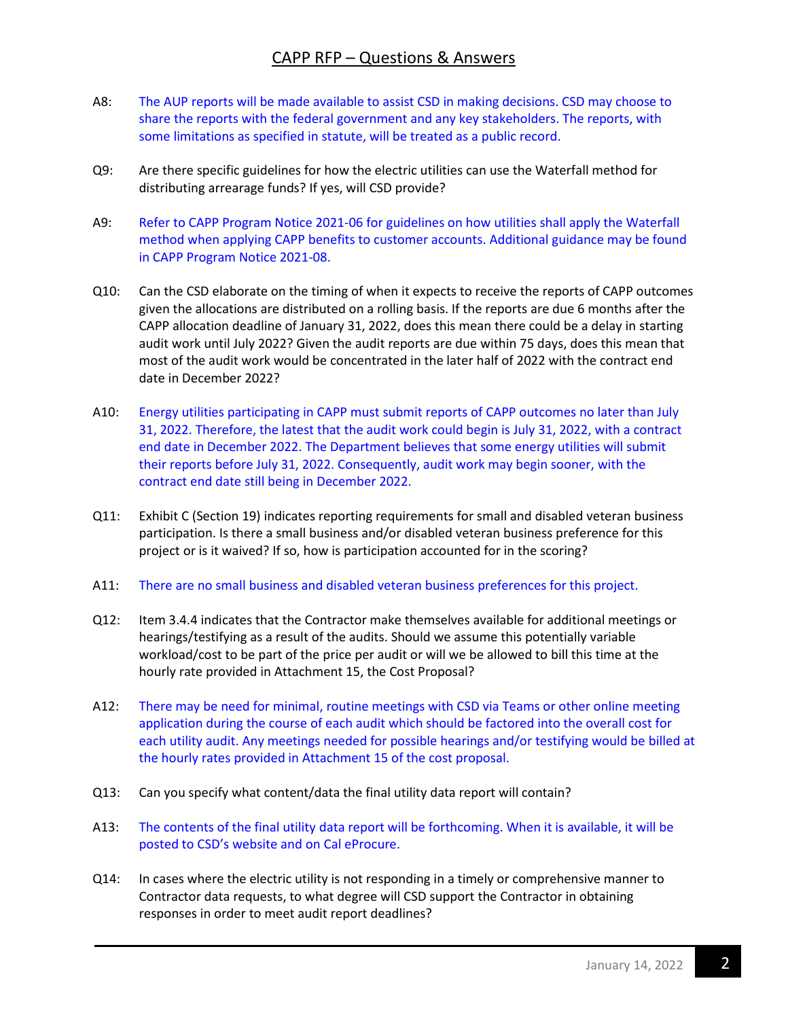## CAPP RFP – Questions & Answers

- A8: The AUP reports will be made available to assist CSD in making decisions. CSD may choose to share the reports with the federal government and any key stakeholders. The reports, with some limitations as specified in statute, will be treated as a public record.
- Q9: Are there specific guidelines for how the electric utilities can use the Waterfall method for distributing arrearage funds? If yes, will CSD provide?
- A9: Refer to CAPP Program Notice 2021-06 for guidelines on how utilities shall apply the Waterfall method when applying CAPP benefits to customer accounts. Additional guidance may be found in CAPP Program Notice 2021-08.
- Q10: Can the CSD elaborate on the timing of when it expects to receive the reports of CAPP outcomes given the allocations are distributed on a rolling basis. If the reports are due 6 months after the CAPP allocation deadline of January 31, 2022, does this mean there could be a delay in starting audit work until July 2022? Given the audit reports are due within 75 days, does this mean that most of the audit work would be concentrated in the later half of 2022 with the contract end date in December 2022?
- A10: Energy utilities participating in CAPP must submit reports of CAPP outcomes no later than July 31, 2022. Therefore, the latest that the audit work could begin is July 31, 2022, with a contract end date in December 2022. The Department believes that some energy utilities will submit their reports before July 31, 2022. Consequently, audit work may begin sooner, with the contract end date still being in December 2022.
- Q11: Exhibit C (Section 19) indicates reporting requirements for small and disabled veteran business participation. Is there a small business and/or disabled veteran business preference for this project or is it waived? If so, how is participation accounted for in the scoring?
- A11: There are no small business and disabled veteran business preferences for this project.
- Q12: Item 3.4.4 indicates that the Contractor make themselves available for additional meetings or hearings/testifying as a result of the audits. Should we assume this potentially variable workload/cost to be part of the price per audit or will we be allowed to bill this time at the hourly rate provided in Attachment 15, the Cost Proposal?
- A12: There may be need for minimal, routine meetings with CSD via Teams or other online meeting application during the course of each audit which should be factored into the overall cost for each utility audit. Any meetings needed for possible hearings and/or testifying would be billed at the hourly rates provided in Attachment 15 of the cost proposal.
- Q13: Can you specify what content/data the final utility data report will contain?
- A13: The contents of the final utility data report will be forthcoming. When it is available, it will be posted to CSD's website and on Cal eProcure.
- Q14: In cases where the electric utility is not responding in a timely or comprehensive manner to Contractor data requests, to what degree will CSD support the Contractor in obtaining responses in order to meet audit report deadlines?